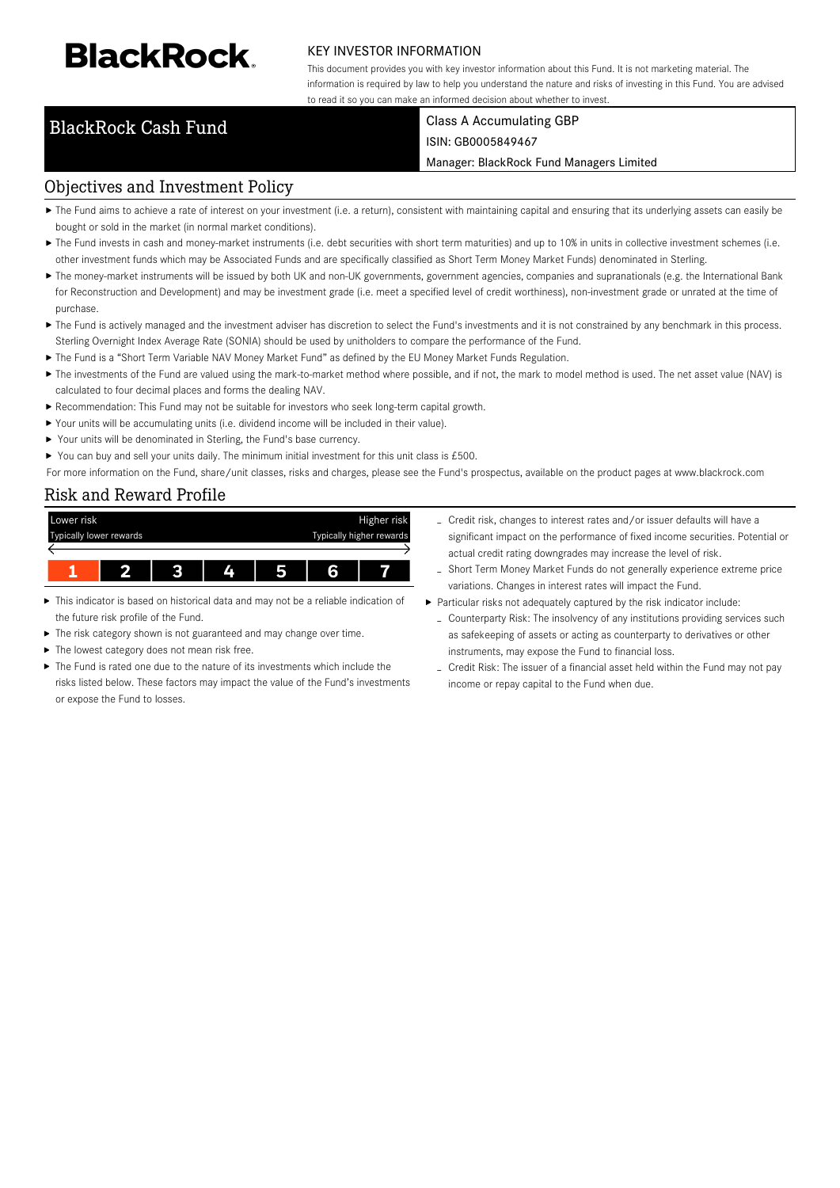# **BlackRock**

#### KEY INVESTOR INFORMATION

This document provides you with key investor information about this Fund. It is not marketing material. The information is required by law to help you understand the nature and risks of investing in this Fund. You are advised to read it so you can make an informed decision about whether to invest.

### BlackRock Cash Fund Class A Accumulating GBP

## ISIN: GB0005849467

Manager: BlackRock Fund Managers Limited

#### Objectives and Investment Policy

- ▶ The Fund aims to achieve a rate of interest on your investment (i.e. a return), consistent with maintaining capital and ensuring that its underlying assets can easily be bought or sold in the market (in normal market conditions).
- ▶ The Fund invests in cash and money-market instruments (i.e. debt securities with short term maturities) and up to 10% in units in collective investment schemes (i.e. other investment funds which may be Associated Funds and are specifically classified as Short Term Money Market Funds) denominated in Sterling.
- ▶ The money-market instruments will be issued by both UK and non-UK governments, government agencies, companies and supranationals (e.g. the International Bank for Reconstruction and Development) and may be investment grade (i.e. meet a specified level of credit worthiness), non-investment grade or unrated at the time of purchase.
- ▶ The Fund is actively managed and the investment adviser has discretion to select the Fund's investments and it is not constrained by any benchmark in this process. Sterling Overnight Index Average Rate (SONIA) should be used by unitholders to compare the performance of the Fund.
- The Fund is a "Short Term Variable NAV Money Market Fund" as defined by the EU Money Market Funds Regulation.
- ▶ The investments of the Fund are valued using the mark-to-market method where possible, and if not, the mark to model method is used. The net asset value (NAV) is calculated to four decimal places and forms the dealing NAV.
- Recommendation: This Fund may not be suitable for investors who seek long-term capital growth.
- Your units will be accumulating units (i.e. dividend income will be included in their value).
- ▶ Your units will be denominated in Sterling, the Fund's base currency.
- You can buy and sell your units daily. The minimum initial investment for this unit class is  $£500$ .

For more information on the Fund, share/unit classes, risks and charges, please see the Fund's prospectus, available on the product pages at www.blackrock.com

#### Risk and Reward Profile



- This indicator is based on historical data and may not be a reliable indication of ь the future risk profile of the Fund.
- The risk category shown is not guaranteed and may change over time.
- The lowest category does not mean risk free. ь
- The Fund is rated one due to the nature of its investments which include the risks listed below. These factors may impact the value of the Fund's investments or expose the Fund to losses.
- Credit risk, changes to interest rates and/or issuer defaults will have a significant impact on the performance of fixed income securities. Potential or actual credit rating downgrades may increase the level of risk.
- Short Term Money Market Funds do not generally experience extreme price variations. Changes in interest rates will impact the Fund.
- Particular risks not adequately captured by the risk indicator include:
	- Counterparty Risk: The insolvency of any institutions providing services such as safekeeping of assets or acting as counterparty to derivatives or other instruments, may expose the Fund to financial loss.
	- Credit Risk: The issuer of a financial asset held within the Fund may not pay income or repay capital to the Fund when due.